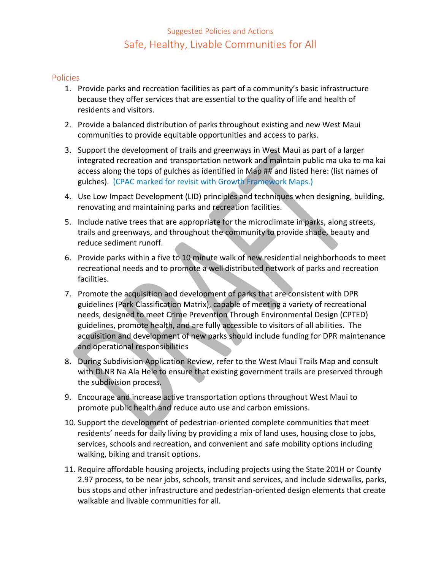## Suggested Policies and Actions Safe, Healthy, Livable Communities for All

## Policies

- 1. Provide parks and recreation facilities as part of a community's basic infrastructure because they offer services that are essential to the quality of life and health of residents and visitors.
- 2. Provide a balanced distribution of parks throughout existing and new West Maui communities to provide equitable opportunities and access to parks.
- 3. Support the development of trails and greenways in West Maui as part of a larger integrated recreation and transportation network and maintain public ma uka to ma kai access along the tops of gulches as identified in Map ## and listed here: (list names of gulches). (CPAC marked for revisit with Growth Framework Maps.)
- 4. Use Low Impact Development (LID) principles and techniques when designing, building, renovating and maintaining parks and recreation facilities.
- 5. Include native trees that are appropriate for the microclimate in parks, along streets, trails and greenways, and throughout the community to provide shade, beauty and reduce sediment runoff.
- 6. Provide parks within a five to 10 minute walk of new residential neighborhoods to meet recreational needs and to promote a well distributed network of parks and recreation facilities.
- 7. Promote the acquisition and development of parks that are consistent with DPR guidelines (Park Classification Matrix), capable of meeting a variety of recreational needs, designed to meet Crime Prevention Through Environmental Design (CPTED) guidelines, promote health, and are fully accessible to visitors of all abilities. The acquisition and development of new parks should include funding for DPR maintenance and operational responsibilities
- 8. During Subdivision Application Review, refer to the West Maui Trails Map and consult with DLNR Na Ala Hele to ensure that existing government trails are preserved through the subdivision process.
- 9. Encourage and increase active transportation options throughout West Maui to promote public health and reduce auto use and carbon emissions.
- 10. Support the development of pedestrian-oriented complete communities that meet residents' needs for daily living by providing a mix of land uses, housing close to jobs, services, schools and recreation, and convenient and safe mobility options including walking, biking and transit options.
- 11. Require affordable housing projects, including projects using the State 201H or County 2.97 process, to be near jobs, schools, transit and services, and include sidewalks, parks, bus stops and other infrastructure and pedestrian-oriented design elements that create walkable and livable communities for all.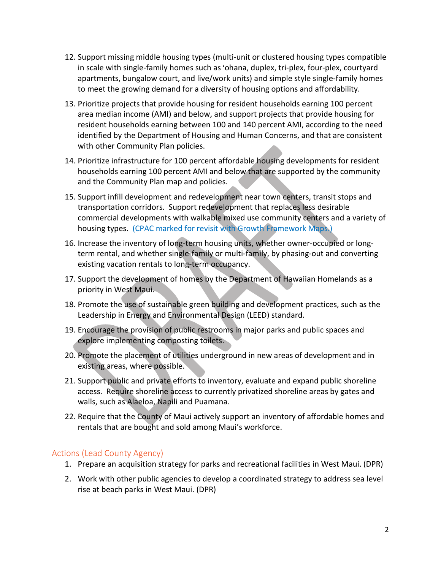- 12. Support missing middle housing types (multi-unit or clustered housing types compatible in scale with single-family homes such as 'ohana, duplex, tri-plex, four-plex, courtyard apartments, bungalow court, and live/work units) and simple style single-family homes to meet the growing demand for a diversity of housing options and affordability.
- 13. Prioritize projects that provide housing for resident households earning 100 percent area median income (AMI) and below, and support projects that provide housing for resident households earning between 100 and 140 percent AMI, according to the need identified by the Department of Housing and Human Concerns, and that are consistent with other Community Plan policies.
- 14. Prioritize infrastructure for 100 percent affordable housing developments for resident households earning 100 percent AMI and below that are supported by the community and the Community Plan map and policies.
- 15. Support infill development and redevelopment near town centers, transit stops and transportation corridors. Support redevelopment that replaces less desirable commercial developments with walkable mixed use community centers and a variety of housing types. (CPAC marked for revisit with Growth Framework Maps.)
- 16. Increase the inventory of long-term housing units, whether owner-occupied or longterm rental, and whether single-family or multi-family, by phasing-out and converting existing vacation rentals to long-term occupancy.
- 17. Support the development of homes by the Department of Hawaiian Homelands as a priority in West Maui.
- 18. Promote the use of sustainable green building and development practices, such as the Leadership in Energy and Environmental Design (LEED) standard.
- 19. Encourage the provision of public restrooms in major parks and public spaces and explore implementing composting toilets.
- 20. Promote the placement of utilities underground in new areas of development and in existing areas, where possible.
- 21. Support public and private efforts to inventory, evaluate and expand public shoreline access. Require shoreline access to currently privatized shoreline areas by gates and walls, such as Alaeloa, Napili and Puamana.
- 22. Require that the County of Maui actively support an inventory of affordable homes and rentals that are bought and sold among Maui's workforce.

## Actions (Lead County Agency)

- 1. Prepare an acquisition strategy for parks and recreational facilities in West Maui. (DPR)
- 2. Work with other public agencies to develop a coordinated strategy to address sea level rise at beach parks in West Maui. (DPR)